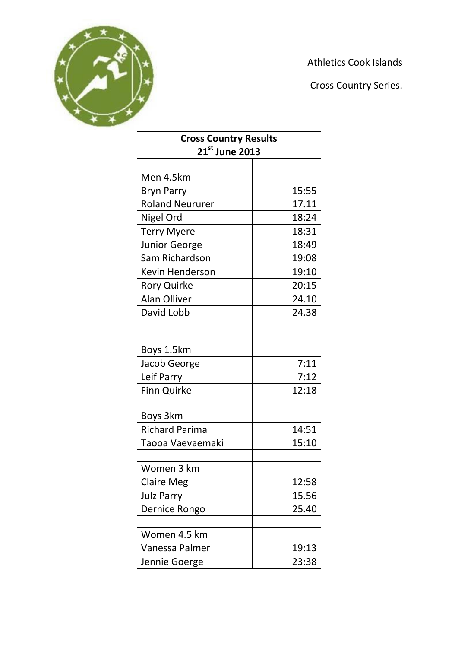

Athletics Cook Islands

Cross Country Series.

| <b>Cross Country Results</b><br>21st June 2013 |       |  |
|------------------------------------------------|-------|--|
|                                                |       |  |
| Men 4.5km                                      |       |  |
| <b>Bryn Parry</b>                              | 15:55 |  |
| <b>Roland Neururer</b>                         | 17.11 |  |
| Nigel Ord                                      | 18:24 |  |
| <b>Terry Myere</b>                             | 18:31 |  |
| <b>Junior George</b>                           | 18:49 |  |
| Sam Richardson                                 | 19:08 |  |
| <b>Kevin Henderson</b>                         | 19:10 |  |
| <b>Rory Quirke</b>                             | 20:15 |  |
| <b>Alan Olliver</b>                            | 24.10 |  |
| David Lobb                                     | 24.38 |  |
|                                                |       |  |
|                                                |       |  |
| Boys 1.5km                                     |       |  |
| Jacob George                                   | 7:11  |  |
| Leif Parry                                     | 7:12  |  |
| <b>Finn Quirke</b>                             | 12:18 |  |
|                                                |       |  |
| Boys 3km                                       |       |  |
| <b>Richard Parima</b>                          | 14:51 |  |
| Taooa Vaevaemaki                               | 15:10 |  |
|                                                |       |  |
| Women 3 km                                     |       |  |
| <b>Claire Meg</b>                              | 12:58 |  |
| <b>Julz Parry</b>                              | 15.56 |  |
| Dernice Rongo                                  | 25.40 |  |
|                                                |       |  |
| Women 4.5 km                                   |       |  |
| Vanessa Palmer                                 | 19:13 |  |
| Jennie Goerge                                  | 23:38 |  |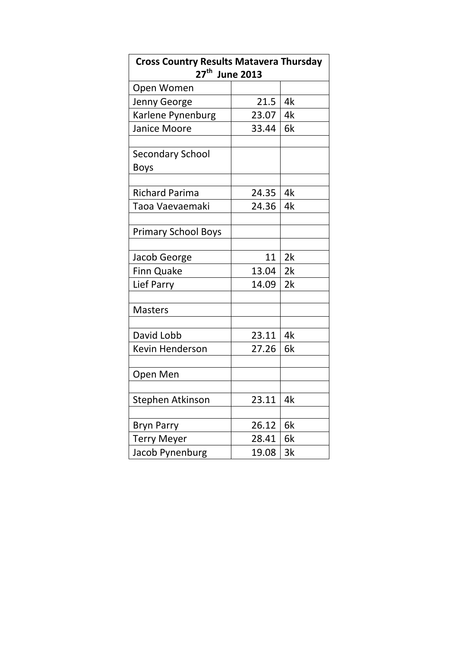| <b>Cross Country Results Matavera Thursday</b><br>27 <sup>th</sup><br><b>June 2013</b> |       |    |
|----------------------------------------------------------------------------------------|-------|----|
| Open Women                                                                             |       |    |
| Jenny George                                                                           | 21.5  | 4k |
| Karlene Pynenburg                                                                      | 23.07 | 4k |
| Janice Moore                                                                           | 33.44 | 6k |
|                                                                                        |       |    |
| <b>Secondary School</b>                                                                |       |    |
| <b>Boys</b>                                                                            |       |    |
|                                                                                        |       |    |
| <b>Richard Parima</b>                                                                  | 24.35 | 4k |
| Taoa Vaevaemaki                                                                        | 24.36 | 4k |
| <b>Primary School Boys</b>                                                             |       |    |
|                                                                                        |       |    |
| Jacob George                                                                           | 11    | 2k |
| <b>Finn Quake</b>                                                                      | 13.04 | 2k |
| Lief Parry                                                                             | 14.09 | 2k |
|                                                                                        |       |    |
| <b>Masters</b>                                                                         |       |    |
|                                                                                        |       |    |
| David Lobb                                                                             | 23.11 | 4k |
| <b>Kevin Henderson</b>                                                                 | 27.26 | 6k |
| Open Men                                                                               |       |    |
|                                                                                        |       |    |
| Stephen Atkinson                                                                       | 23.11 | 4k |
|                                                                                        |       |    |
| <b>Bryn Parry</b>                                                                      | 26.12 | 6k |
| <b>Terry Meyer</b>                                                                     | 28.41 | 6k |
| Jacob Pynenburg                                                                        | 19.08 | 3k |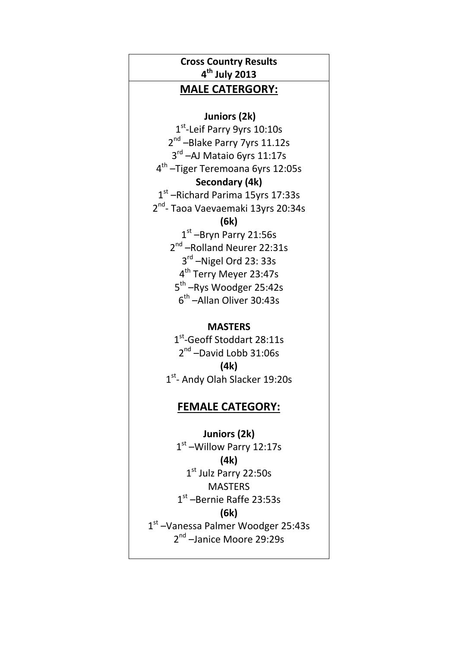# **Cross Country Results 4 th July 2013**

### **MALE CATERGORY:**

**Juniors (2k)**

1<sup>st</sup>-Leif Parry 9yrs 10:10s 2<sup>nd</sup> – Blake Parry 7yrs 11.12s 3<sup>rd</sup> –AJ Mataio 6yrs 11:17s 4 th –Tiger Teremoana 6yrs 12:05s **Secondary (4k)** 1st -Richard Parima 15yrs 17:33s 2<sup>nd</sup>- Taoa Vaevaemaki 13yrs 20:34s

**(6k)**

1st –Bryn Parry 21:56s 2<sup>nd</sup> -Rolland Neurer 22:31s 3<sup>rd</sup> -Nigel Ord 23: 33s 4<sup>th</sup> Terry Meyer 23:47s 5<sup>th</sup> –Rys Woodger 25:42s 6 th –Allan Oliver 30:43s

#### **MASTERS**

1st-Geoff Stoddart 28:11s 2<sup>nd</sup> -David Lobb 31:06s **(4k)** 1st- Andy Olah Slacker 19:20s

### **FEMALE CATEGORY:**

**Juniors (2k)** 1st -Willow Parry 12:17s **(4k)** 1st Julz Parry 22:50s **MASTERS** 1 st –Bernie Raffe 23:53s **(6k)** 1st - Vanessa Palmer Woodger 25:43s 2<sup>nd</sup> –Janice Moore 29:29s